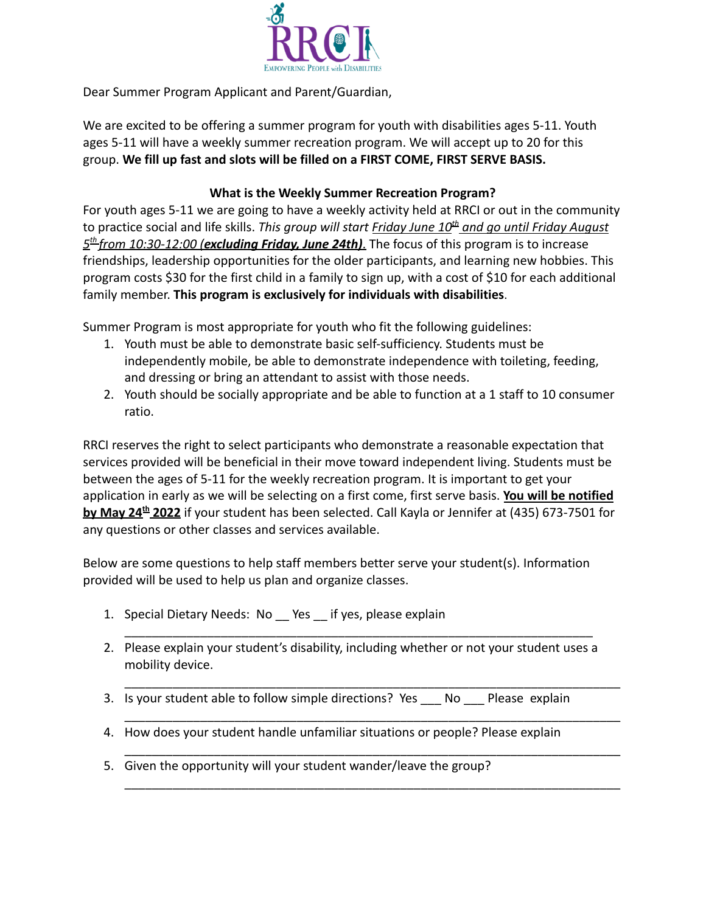

Dear Summer Program Applicant and Parent/Guardian,

We are excited to be offering a summer program for youth with disabilities ages 5-11. Youth ages 5-11 will have a weekly summer recreation program. We will accept up to 20 for this group. **We fill up fast and slots will be filled on a FIRST COME, FIRST SERVE BASIS.**

## **What is the Weekly Summer Recreation Program?**

For youth ages 5-11 we are going to have a weekly activity held at RRCI or out in the community to practice social and life skills. *This group will start Friday June 10th and go until Friday August 5 th from 10:30-12:00 (excluding Friday, June 24th)*. The focus of this program is to increase friendships, leadership opportunities for the older participants, and learning new hobbies. This program costs \$30 for the first child in a family to sign up, with a cost of \$10 for each additional family member. **This program is exclusively for individuals with disabilities**.

Summer Program is most appropriate for youth who fit the following guidelines:

- 1. Youth must be able to demonstrate basic self-sufficiency. Students must be independently mobile, be able to demonstrate independence with toileting, feeding, and dressing or bring an attendant to assist with those needs.
- 2. Youth should be socially appropriate and be able to function at a 1 staff to 10 consumer ratio.

RRCI reserves the right to select participants who demonstrate a reasonable expectation that services provided will be beneficial in their move toward independent living. Students must be between the ages of 5-11 for the weekly recreation program. It is important to get your application in early as we will be selecting on a first come, first serve basis. **You will be notified by May 24th 2022** if your student has been selected. Call Kayla or Jennifer at (435) 673-7501 for any questions or other classes and services available.

Below are some questions to help staff members better serve your student(s). Information provided will be used to help us plan and organize classes.

- 1. Special Dietary Needs: No \_\_ Yes \_\_ if yes, please explain
- 2. Please explain your student's disability, including whether or not your student uses a mobility device.

\_\_\_\_\_\_\_\_\_\_\_\_\_\_\_\_\_\_\_\_\_\_\_\_\_\_\_\_\_\_\_\_\_\_\_\_\_\_\_\_\_\_\_\_\_\_\_\_\_\_\_\_\_\_\_\_\_\_\_\_\_\_\_\_\_\_\_\_

\_\_\_\_\_\_\_\_\_\_\_\_\_\_\_\_\_\_\_\_\_\_\_\_\_\_\_\_\_\_\_\_\_\_\_\_\_\_\_\_\_\_\_\_\_\_\_\_\_\_\_\_\_\_\_\_\_\_\_\_\_\_\_\_\_\_\_\_\_\_\_\_

\_\_\_\_\_\_\_\_\_\_\_\_\_\_\_\_\_\_\_\_\_\_\_\_\_\_\_\_\_\_\_\_\_\_\_\_\_\_\_\_\_\_\_\_\_\_\_\_\_\_\_\_\_\_\_\_\_\_\_\_\_\_\_\_\_\_\_\_\_\_\_\_

\_\_\_\_\_\_\_\_\_\_\_\_\_\_\_\_\_\_\_\_\_\_\_\_\_\_\_\_\_\_\_\_\_\_\_\_\_\_\_\_\_\_\_\_\_\_\_\_\_\_\_\_\_\_\_\_\_\_\_\_\_\_\_\_\_\_\_\_\_\_\_\_

\_\_\_\_\_\_\_\_\_\_\_\_\_\_\_\_\_\_\_\_\_\_\_\_\_\_\_\_\_\_\_\_\_\_\_\_\_\_\_\_\_\_\_\_\_\_\_\_\_\_\_\_\_\_\_\_\_\_\_\_\_\_\_\_\_\_\_\_\_\_\_\_

- 3. Is your student able to follow simple directions? Yes No Please explain
- 4. How does your student handle unfamiliar situations or people? Please explain
- 5. Given the opportunity will your student wander/leave the group?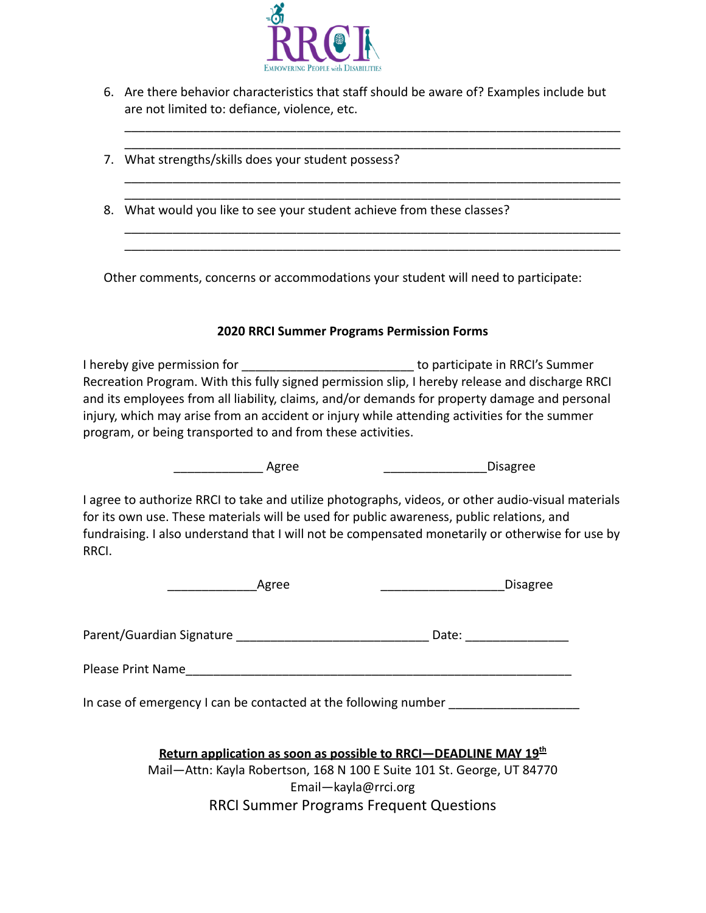

6. Are there behavior characteristics that staff should be aware of? Examples include but are not limited to: defiance, violence, etc.

\_\_\_\_\_\_\_\_\_\_\_\_\_\_\_\_\_\_\_\_\_\_\_\_\_\_\_\_\_\_\_\_\_\_\_\_\_\_\_\_\_\_\_\_\_\_\_\_\_\_\_\_\_\_\_\_\_\_\_\_\_\_\_\_\_\_\_\_\_\_\_\_ \_\_\_\_\_\_\_\_\_\_\_\_\_\_\_\_\_\_\_\_\_\_\_\_\_\_\_\_\_\_\_\_\_\_\_\_\_\_\_\_\_\_\_\_\_\_\_\_\_\_\_\_\_\_\_\_\_\_\_\_\_\_\_\_\_\_\_\_\_\_\_\_

\_\_\_\_\_\_\_\_\_\_\_\_\_\_\_\_\_\_\_\_\_\_\_\_\_\_\_\_\_\_\_\_\_\_\_\_\_\_\_\_\_\_\_\_\_\_\_\_\_\_\_\_\_\_\_\_\_\_\_\_\_\_\_\_\_\_\_\_\_\_\_\_ \_\_\_\_\_\_\_\_\_\_\_\_\_\_\_\_\_\_\_\_\_\_\_\_\_\_\_\_\_\_\_\_\_\_\_\_\_\_\_\_\_\_\_\_\_\_\_\_\_\_\_\_\_\_\_\_\_\_\_\_\_\_\_\_\_\_\_\_\_\_\_\_

\_\_\_\_\_\_\_\_\_\_\_\_\_\_\_\_\_\_\_\_\_\_\_\_\_\_\_\_\_\_\_\_\_\_\_\_\_\_\_\_\_\_\_\_\_\_\_\_\_\_\_\_\_\_\_\_\_\_\_\_\_\_\_\_\_\_\_\_\_\_\_\_ \_\_\_\_\_\_\_\_\_\_\_\_\_\_\_\_\_\_\_\_\_\_\_\_\_\_\_\_\_\_\_\_\_\_\_\_\_\_\_\_\_\_\_\_\_\_\_\_\_\_\_\_\_\_\_\_\_\_\_\_\_\_\_\_\_\_\_\_\_\_\_\_

- 7. What strengths/skills does your student possess?
- 8. What would you like to see your student achieve from these classes?

Other comments, concerns or accommodations your student will need to participate:

## **2020 RRCI Summer Programs Permission Forms**

I hereby give permission for \_\_\_\_\_\_\_\_\_\_\_\_\_\_\_\_\_\_\_\_\_\_\_\_\_\_\_\_\_\_\_ to participate in RRCI's Summer Recreation Program. With this fully signed permission slip, I hereby release and discharge RRCI and its employees from all liability, claims, and/or demands for property damage and personal injury, which may arise from an accident or injury while attending activities for the summer program, or being transported to and from these activities.

Agree **Agree 2018 Agree** 2018 **Disagree** 

I agree to authorize RRCI to take and utilize photographs, videos, or other audio-visual materials for its own use. These materials will be used for public awareness, public relations, and fundraising. I also understand that I will not be compensated monetarily or otherwise for use by RRCI.

| APTAP<br>-פי | Disagree |
|--------------|----------|
|--------------|----------|

Parent/Guardian Signature \_\_\_\_\_\_\_\_\_\_\_\_\_\_\_\_\_\_\_\_\_\_\_\_\_\_\_\_ Date: \_\_\_\_\_\_\_\_\_\_\_\_\_\_\_

Please Print Name\_\_\_\_\_\_\_\_\_\_\_\_\_\_\_\_\_\_\_\_\_\_\_\_\_\_\_\_\_\_\_\_\_\_\_\_\_\_\_\_\_\_\_\_\_\_\_\_\_\_\_\_\_\_\_\_

In case of emergency I can be contacted at the following number

| Return application as soon as possible to RRCI-DEADLINE MAY 19 <sup>th</sup> |  |
|------------------------------------------------------------------------------|--|
| Mail-Attn: Kayla Robertson, 168 N 100 E Suite 101 St. George, UT 84770       |  |
| Email-kayla@rrci.org                                                         |  |
| <b>RRCI Summer Programs Frequent Questions</b>                               |  |